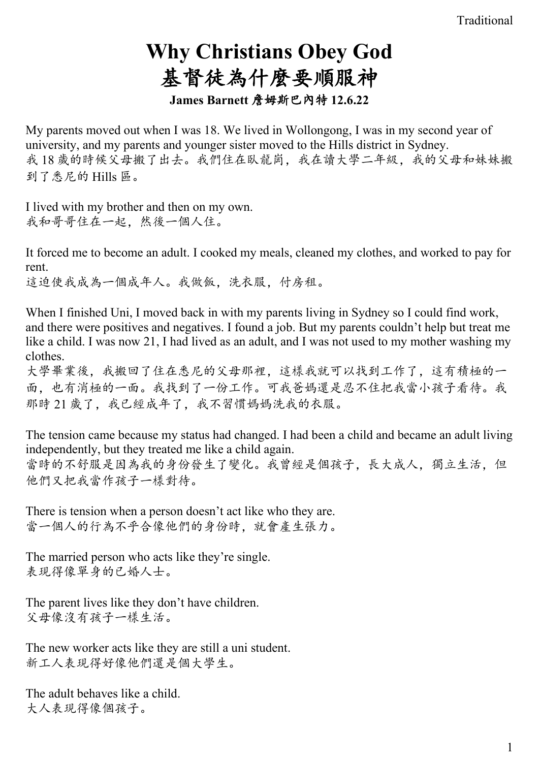# **Why Christians Obey God**  基督徒為什麼要順服神 **James Barnett** 詹姆斯巴內特 **12.6.22**

My parents moved out when I was 18. We lived in Wollongong, I was in my second year of university, and my parents and younger sister moved to the Hills district in Sydney. 我18 歲的時候父母搬了出去。我們住在臥龍崗,我在讀大學二年級,我的父母和妹妹搬 到了悉尼的 Hills 區。

I lived with my brother and then on my own. 我和哥哥住在一起,然後一個人住。

It forced me to become an adult. I cooked my meals, cleaned my clothes, and worked to pay for rent.

這迫使我成為一個成年人。我做飯,洗衣服,付房租。

When I finished Uni, I moved back in with my parents living in Sydney so I could find work, and there were positives and negatives. I found a job. But my parents couldn't help but treat me like a child. I was now 21, I had lived as an adult, and I was not used to my mother washing my clothes.

大學畢業後,我搬回了住在悉尼的父母那裡,這樣我就可以找到工作了,這有積極的一 面,也有消極的一面。我找到了一份工作。可我爸媽還是忍不住把我當小孩子看待。我 那時 21 歲了, 我已經成年了, 我不習慣媽媽洗我的衣服。

The tension came because my status had changed. I had been a child and became an adult living independently, but they treated me like a child again. 當時的不舒服是因為我的身份發生了變化。我曾經是個孩子,長大成人,獨立生活,但 他們又把我當作孩子一樣對待。

There is tension when a person doesn't act like who they are. 當一個人的行為不乎合像他們的身份時,就會產生張力。

The married person who acts like they're single. 表現得像單身的已婚人士。

The parent lives like they don't have children. 父母像沒有孩子一樣生活。

The new worker acts like they are still a uni student. 新工人表現得好像他們還是個大學生。

The adult behaves like a child. 大人表現得像個孩子。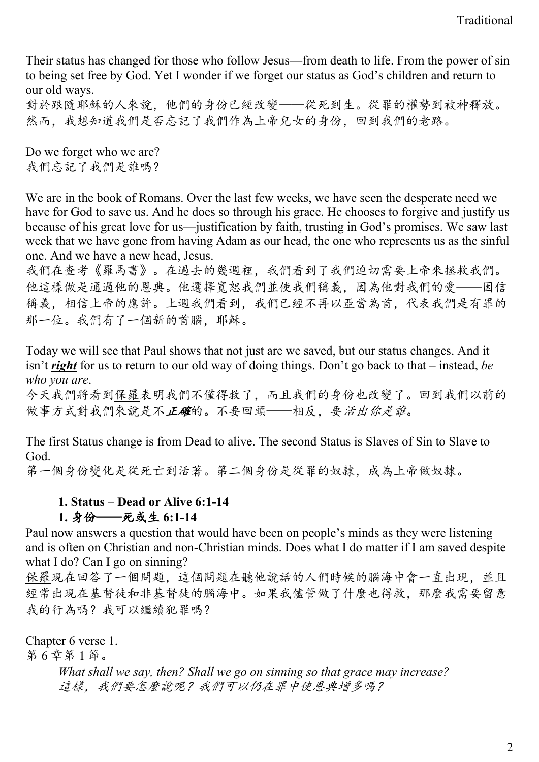Their status has changed for those who follow Jesus—from death to life. From the power of sin to being set free by God. Yet I wonder if we forget our status as God's children and return to our old ways.

對於跟隨耶穌的人來說,他們的身份已經改變——從死到生。從罪的權勢到被神釋放。 然而,我想知道我們是否忘記了我們作為上帝兒女的身份,回到我們的老路。

Do we forget who we are? 我們忘記了我們是誰嗎?

We are in the book of Romans. Over the last few weeks, we have seen the desperate need we have for God to save us. And he does so through his grace. He chooses to forgive and justify us because of his great love for us—justification by faith, trusting in God's promises. We saw last week that we have gone from having Adam as our head, the one who represents us as the sinful one. And we have a new head, Jesus.

我們在查考《羅馬書》。在過去的幾週裡,我們看到了我們迫切需要上帝來拯救我們。 他這樣做是通過他的恩典。他選擇寬恕我們並使我們稱義,因為他對我們的愛——因信 稱義,相信上帝的應許。上週我們看到,我們已經不再以亞當為首,代表我們是有罪的 那一位。我們有了一個新的首腦,耶穌。

Today we will see that Paul shows that not just are we saved, but our status changes. And it isn't *right* for us to return to our old way of doing things. Don't go back to that – instead, *be who you are*.

今天我們將看到保羅表明我們不僅得救了,而且我們的身份也改變了。回到我們以前的 做事方式對我們來說是不正確的。不要回頭——相反,要活出你是誰。

The first Status change is from Dead to alive. The second Status is Slaves of Sin to Slave to God.

第一個身份變化是從死亡到活著。第二個身份是從罪的奴隸,成為上帝做奴隸。

### **1. Status – Dead or Alive 6:1-14**

## **1.** 身份——死或生 **6:1-14**

Paul now answers a question that would have been on people's minds as they were listening and is often on Christian and non-Christian minds. Does what I do matter if I am saved despite what I do? Can I go on sinning?

保羅現在回答了一個問題,這個問題在聽他說話的人們時候的腦海中會一直出現,並且 經常出現在基督徒和非基督徒的腦海中。如果我儘管做了什麼也得救,那麼我需要留意 我的行為嗎?我可以繼續犯罪嗎?

Chapter 6 verse 1.

第 6 章第 1 節。

*What shall we say, then? Shall we go on sinning so that grace may increase?* 這樣,我們要怎麼說呢?我們可以仍在罪中使恩典增多嗎?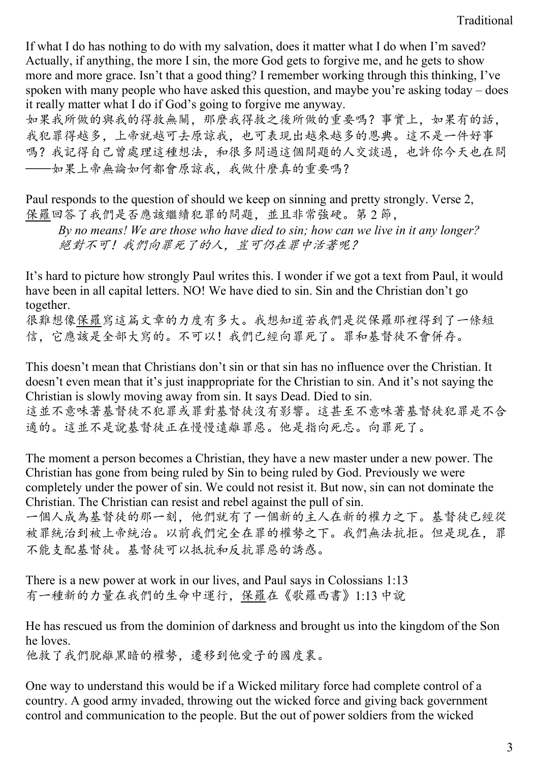If what I do has nothing to do with my salvation, does it matter what I do when I'm saved? Actually, if anything, the more I sin, the more God gets to forgive me, and he gets to show more and more grace. Isn't that a good thing? I remember working through this thinking, I've spoken with many people who have asked this question, and maybe you're asking today – does it really matter what I do if God's going to forgive me anyway.

如果我所做的與我的得救無關,那麼我得救之後所做的重要嗎?事實上,如果有的話, 我犯罪得越多,上帝就越可去原諒我,也可表現出越來越多的恩典。這不是一件好事 嗎?我記得自己曾處理這種想法,和很多問過這個問題的人交談過,也許你今天也在問 ——如果上帝無論如何都會原諒我,我做什麼真的重要嗎?

Paul responds to the question of should we keep on sinning and pretty strongly. Verse 2, 保羅回答了我們是否應該繼續犯罪的問題,並且非常強硬。第 2 節,

*By no means! We are those who have died to sin; how can we live in it any longer?* 絕對不可!我們向罪死了的人,豈可仍在罪中活著呢?

It's hard to picture how strongly Paul writes this. I wonder if we got a text from Paul, it would have been in all capital letters. NO! We have died to sin. Sin and the Christian don't go together.

很難想像保羅寫這篇文章的力度有多大。我想知道若我們是從保羅那裡得到了一條短 信,它應該是全部大寫的。不可以!我們已經向罪死了。罪和基督徒不會併存。

This doesn't mean that Christians don't sin or that sin has no influence over the Christian. It doesn't even mean that it's just inappropriate for the Christian to sin. And it's not saying the Christian is slowly moving away from sin. It says Dead. Died to sin. 這並不意味著基督徒不能罪或罪對基督徒沒有影響。這甚至不意味著基督徒犯罪是不合 適的。這並不是說基督徒正在慢慢遠離罪惡。他是指向死忘。向罪死了。

The moment a person becomes a Christian, they have a new master under a new power. The Christian has gone from being ruled by Sin to being ruled by God. Previously we were completely under the power of sin. We could not resist it. But now, sin can not dominate the Christian. The Christian can resist and rebel against the pull of sin.

一個人成為基督徒的那一刻,他們就有了一個新的主人在新的權力之下。基督徒已經從 被罪統治到被上帝統治。以前我們完全在罪的權勢之下。我們無法抗拒。但是現在,罪 不能支配基督徒。基督徒可以抵抗和反抗罪惡的誘惑。

There is a new power at work in our lives, and Paul says in Colossians 1:13 有一種新的力量在我們的生命中運行,保羅在《歌羅西書》1:13 中說

He has rescued us from the dominion of darkness and brought us into the kingdom of the Son he loves.

他救了我們脫離黑暗的權勢,遷移到他愛子的國度裏。

One way to understand this would be if a Wicked military force had complete control of a country. A good army invaded, throwing out the wicked force and giving back government control and communication to the people. But the out of power soldiers from the wicked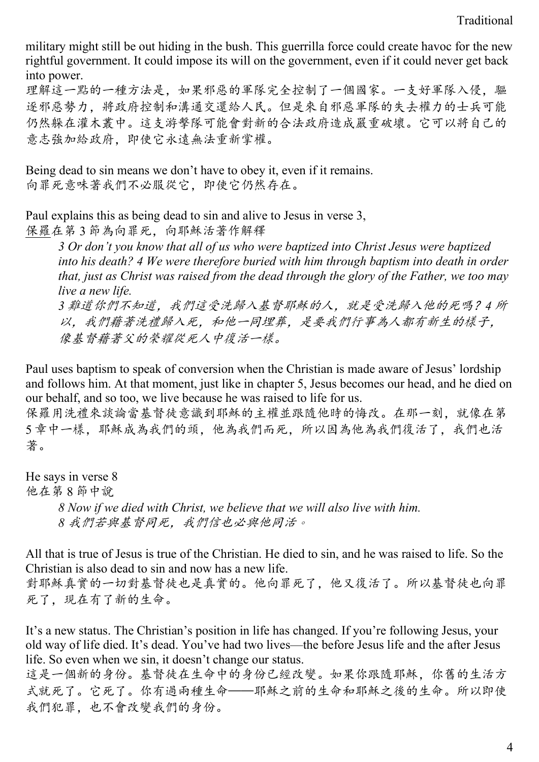military might still be out hiding in the bush. This guerrilla force could create havoc for the new rightful government. It could impose its will on the government, even if it could never get back into power.

理解這一點的一種方法是,如果邪惡的軍隊完全控制了一個國家。一支好軍隊入侵,驅 逐邪惡勢力,將政府控制和溝通交還給人民。但是來自邪惡軍隊的失去權力的士兵可能 仍然躲在灌木叢中。這支游擊隊可能會對新的合法政府造成嚴重破壞。它可以將自己的 意志強加給政府,即使它永遠無法重新掌權。

Being dead to sin means we don't have to obey it, even if it remains. 向罪死意味著我們不必服從它,即使它仍然存在。

Paul explains this as being dead to sin and alive to Jesus in verse 3, 保羅在第 3 節為向罪死,向耶穌活著作解釋

*3 Or don't you know that all of us who were baptized into Christ Jesus were baptized into his death? 4 We were therefore buried with him through baptism into death in order that, just as Christ was raised from the dead through the glory of the Father, we too may live a new life. 3* 難道你們不知道,我們這受洗歸入基督耶穌的人,就是受洗歸入他的死嗎?*4* 所

以,我們藉著洗禮歸入死,和他一同埋葬,是要我們行事為人都有新生的樣子, 像基督藉著父的榮耀從死人中復活一樣。

Paul uses baptism to speak of conversion when the Christian is made aware of Jesus' lordship and follows him. At that moment, just like in chapter 5, Jesus becomes our head, and he died on our behalf, and so too, we live because he was raised to life for us.

保羅用洗禮來談論當基督徒意識到耶穌的主權並跟隨他時的悔改。在那一刻,就像在第 5 章中一樣,耶穌成為我們的頭,他為我們而死,所以因為他為我們復活了,我們也活 著。

He says in verse 8 他在第 8 節中說 *8 Now if we died with Christ, we believe that we will also live with him. 8* 我們若與基督同死,我們信也必與他同活。

All that is true of Jesus is true of the Christian. He died to sin, and he was raised to life. So the Christian is also dead to sin and now has a new life.

對耶穌真實的一切對基督徒也是真實的。他向罪死了,他又復活了。所以基督徒也向罪 死了,現在有了新的生命。

It's a new status. The Christian's position in life has changed. If you're following Jesus, your old way of life died. It's dead. You've had two lives—the before Jesus life and the after Jesus life. So even when we sin, it doesn't change our status.

這是一個新的身份。基督徒在生命中的身份已經改變。如果你跟隨耶穌,你舊的生活方 式就死了。它死了。你有過兩種生命——耶穌之前的生命和耶穌之後的生命。所以即使 我們犯罪,也不會改變我們的身份。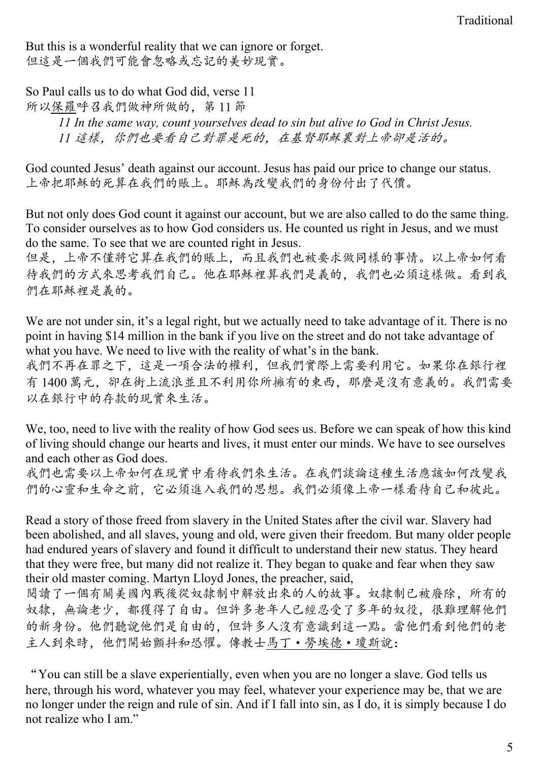But this is a wonderful reality that we can ignore or forget. 但這是一個我們可能會忽略或忘記的美妙現實。

So Paul calls us to do what God did, verse 11 所以保羅呼召我們做神所做的,第 11 節 *11 In the same way, count yourselves dead to sin but alive to God in Christ Jesus. 11* 這樣,你們也要看自己對罪是死的,在基督耶穌裏對上帝卻是活的。

God counted Jesus' death against our account. Jesus has paid our price to change our status. 上帝把耶穌的死算在我們的賬上。耶穌為改變我們的身份付出了代價。

But not only does God count it against our account, but we are also called to do the same thing. To consider ourselves as to how God considers us. He counted us right in Jesus, and we must do the same. To see that we are counted right in Jesus.

但是,上帝不僅將它算在我們的賬上,而且我們也被要求做同樣的事情。以上帝如何看 待我們的方式來思考我們自己。他在耶穌裡算我們是義的,我們也必須這樣做。看到我 們在耶穌裡是義的。

We are not under sin, it's a legal right, but we actually need to take advantage of it. There is no point in having \$14 million in the bank if you live on the street and do not take advantage of what you have. We need to live with the reality of what's in the bank.

我們不再在罪之下,這是一項合法的權利,但我們實際上需要利用它。如果你在銀行裡 有 1400 萬元,卻在街上流浪並且不利用你所擁有的東西,那麼是沒有意義的。我們需要 以在銀行中的存款的現實來生活。

We, too, need to live with the reality of how God sees us. Before we can speak of how this kind of living should change our hearts and lives, it must enter our minds. We have to see ourselves and each other as God does.

我們也需要以上帝如何在現實中看待我們來生活。在我們談論這種生活應該如何改變我 們的心靈和生命之前,它必須進入我們的思想。我們必須像上帝一樣看待自己和彼此。

Read a story of those freed from slavery in the United States after the civil war. Slavery had been abolished, and all slaves, young and old, were given their freedom. But many older people had endured years of slavery and found it difficult to understand their new status. They heard that they were free, but many did not realize it. They began to quake and fear when they saw their old master coming. Martyn Lloyd Jones, the preacher, said,

閱讀了一個有關美國內戰後從奴隸制中解放出來的人的故事。奴隸制已被廢除,所有的 奴隸,無論老少,都獲得了自由。但許多老年人已經忍受了多年的奴役,很難理解他們 的新身份。他們聽說他們是自由的,但許多人沒有意識到這一點。當他們看到他們的老 主人到來時,他們開始顫抖和恐懼。傳教士馬丁·勞埃德·瓊斯說:

"You can still be a slave experientially, even when you are no longer a slave. God tells us here, through his word, whatever you may feel, whatever your experience may be, that we are no longer under the reign and rule of sin. And if I fall into sin, as I do, it is simply because I do not realize who I am."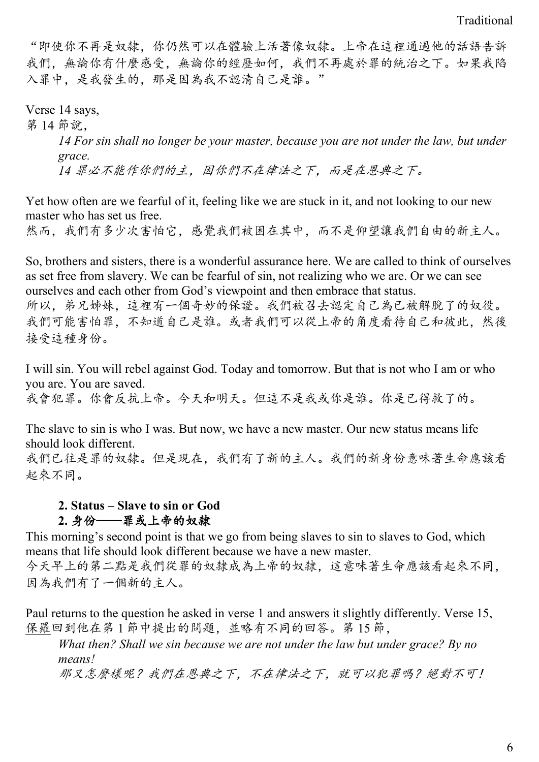"即使你不再是奴隸,你仍然可以在體驗上活著像奴隸。上帝在這裡通過他的話語告訴 我們,無論你有什麼感受,無論你的經歷如何,我們不再處於罪的統治之下。如果我陷 入罪中,是我發生的,那是因為我不認清自己是誰。"

Verse 14 says, 第 14 節說, *14 For sin shall no longer be your master, because you are not under the law, but under grace. 14* 罪必不能作你們的主,因你們不在律法之下,而是在恩典之下。

Yet how often are we fearful of it, feeling like we are stuck in it, and not looking to our new master who has set us free.

然而,我們有多少次害怕它,感覺我們被困在其中,而不是仰望讓我們自由的新主人。

So, brothers and sisters, there is a wonderful assurance here. We are called to think of ourselves as set free from slavery. We can be fearful of sin, not realizing who we are. Or we can see ourselves and each other from God's viewpoint and then embrace that status. 所以,弟兄姊妹,這裡有一個奇妙的保證。我們被召去認定自己為已被解脫了的奴役。 我們可能害怕罪,不知道自己是誰。或者我們可以從上帝的角度看待自己和彼此,然後 接受這種身份。

I will sin. You will rebel against God. Today and tomorrow. But that is not who I am or who you are. You are saved. 我會犯罪。你會反抗上帝。今天和明天。但這不是我或你是誰。你是已得救了的。

The slave to sin is who I was. But now, we have a new master. Our new status means life should look different.

我們已往是罪的奴隸。但是現在,我們有了新的主人。我們的新身份意味著生命應該看 起來不同。

### **2. Status – Slave to sin or God**

# **2.** 身份——罪或上帝的奴隸

This morning's second point is that we go from being slaves to sin to slaves to God, which means that life should look different because we have a new master. 今天早上的第二點是我們從罪的奴隸成為上帝的奴隸,這意味著生命應該看起來不同, 因為我們有了一個新的主人。

Paul returns to the question he asked in verse 1 and answers it slightly differently. Verse 15, 保羅回到他在第 1 節中提出的問題,並略有不同的回答。第 15 節,

*What then? Shall we sin because we are not under the law but under grace? By no means!*

那又怎麼樣呢?我們在恩典之下,不在律法之下,就可以犯罪嗎?絕對不可!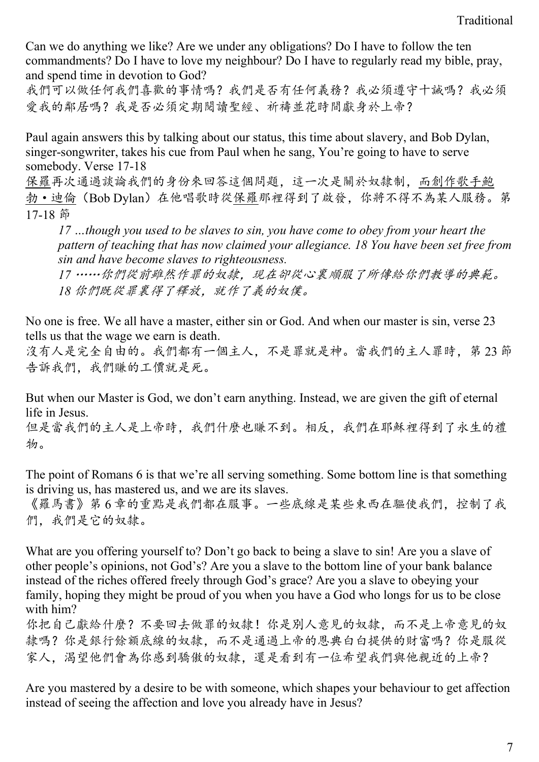Can we do anything we like? Are we under any obligations? Do I have to follow the ten commandments? Do I have to love my neighbour? Do I have to regularly read my bible, pray, and spend time in devotion to God?

我們可以做任何我們喜歡的事情嗎?我們是否有任何義務?我必須遵守十誠嗎?我必須 愛我的鄰居嗎?我是否必須定期閱讀聖經、祈禱並花時間獻身於上帝?

Paul again answers this by talking about our status, this time about slavery, and Bob Dylan, singer-songwriter, takes his cue from Paul when he sang, You're going to have to serve somebody. Verse 17-18

保羅再次通過談論我們的身份來回答這個問題,這一次是關於奴隸制,而創作歌手鮑 勃·迪倫(Bob Dylan)在他唱歌時從保羅那裡得到了啟發,你將不得不為某人服務。第 17-18 節

*17 …though you used to be slaves to sin, you have come to obey from your heart the pattern of teaching that has now claimed your allegiance. 18 You have been set free from sin and have become slaves to righteousness.*

*17* ……你們從前雖然作罪的奴隸,現在卻從心裏順服了所傳給你們教導的典範。 *18* 你們既從罪裏得了釋放,就作了義的奴僕。

No one is free. We all have a master, either sin or God. And when our master is sin, verse 23 tells us that the wage we earn is death.

沒有人是完全自由的。我們都有一個主人,不是罪就是神。當我們的主人罪時,第 23 節 告訴我們,我們賺的工價就是死。

But when our Master is God, we don't earn anything. Instead, we are given the gift of eternal life in Jesus.

但是當我們的主人是上帝時,我們什麼也賺不到。相反,我們在耶穌裡得到了永生的禮 物。

The point of Romans 6 is that we're all serving something. Some bottom line is that something is driving us, has mastered us, and we are its slaves.

《羅馬書》第 6 章的重點是我們都在服事。一些底線是某些東西在驅使我們,控制了我 們,我們是它的奴隸。

What are you offering yourself to? Don't go back to being a slave to sin! Are you a slave of other people's opinions, not God's? Are you a slave to the bottom line of your bank balance instead of the riches offered freely through God's grace? Are you a slave to obeying your family, hoping they might be proud of you when you have a God who longs for us to be close with him?

你把自己獻給什麼?不要回去做罪的奴隸!你是別人意見的奴隸,而不是上帝意見的奴 隸嗎?你是銀行餘額底線的奴隸,而不是通過上帝的恩典白白提供的財富嗎?你是服從 家人,渴望他們會為你感到驕傲的奴隸,還是看到有一位希望我們與他親近的上帝?

Are you mastered by a desire to be with someone, which shapes your behaviour to get affection instead of seeing the affection and love you already have in Jesus?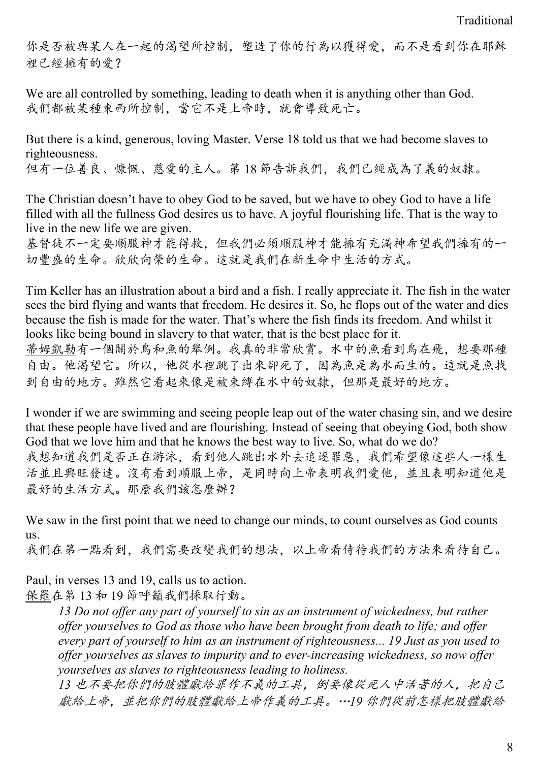你是否被與某人在一起的渴望所控制,塑造了你的行為以獲得愛,而不是看到你在耶穌 裡已經擁有的愛?

We are all controlled by something, leading to death when it is anything other than God. 我們都被某種東西所控制,當它不是上帝時,就會導致死亡。

But there is a kind, generous, loving Master. Verse 18 told us that we had become slaves to righteousness. 但有一位善良、慷慨、慈愛的主人。第 18 節告訴我們,我們已經成為了義的奴隸。

The Christian doesn't have to obey God to be saved, but we have to obey God to have a life filled with all the fullness God desires us to have. A joyful flourishing life. That is the way to live in the new life we are given.

基督徒不一定要順服神才能得救,但我們必須順服神才能擁有充滿神希望我們擁有的一 切豐盛的生命。欣欣向榮的生命。這就是我們在新生命中生活的方式。

Tim Keller has an illustration about a bird and a fish. I really appreciate it. The fish in the water sees the bird flying and wants that freedom. He desires it. So, he flops out of the water and dies because the fish is made for the water. That's where the fish finds its freedom. And whilst it looks like being bound in slavery to that water, that is the best place for it.

蒂姆凱勒有一個關於鳥和魚的舉例。我真的非常欣賞。水中的魚看到鳥在飛,想要那種 自由。他渴望它。所以,他從水裡跳了出來卻死了,因為魚是為水而生的。這就是魚找 到自由的地方。雖然它看起來像是被束縛在水中的奴隸,但那是最好的地方。

I wonder if we are swimming and seeing people leap out of the water chasing sin, and we desire that these people have lived and are flourishing. Instead of seeing that obeying God, both show God that we love him and that he knows the best way to live. So, what do we do? 我想知道我們是否正在游泳,看到他人跳出水外去追逐罪惡,我們希望像這些人一樣生 活並且興旺發達。沒有看到順服上帝,是同時向上帝表明我們愛他,並且表明知道他是 最好的生活方式。那麼我們該怎麼辦?

We saw in the first point that we need to change our minds, to count ourselves as God counts us.

我們在第一點看到,我們需要改變我們的想法,以上帝看侍待我們的方法來看待自己。

Paul, in verses 13 and 19, calls us to action. 保羅在第 13 和 19 節呼籲我們採取行動。

> *13 Do not offer any part of yourself to sin as an instrument of wickedness, but rather offer yourselves to God as those who have been brought from death to life; and offer every part of yourself to him as an instrument of righteousness... 19 Just as you used to offer yourselves as slaves to impurity and to ever-increasing wickedness, so now offer yourselves as slaves to righteousness leading to holiness.*

*13* 也不要把你們的肢體獻給罪作不義的工具,倒要像從死人中活著的人,把自己 獻給上帝,並把你們的肢體獻給上帝作義的工具。…*19* 你們從前怎樣把肢體獻給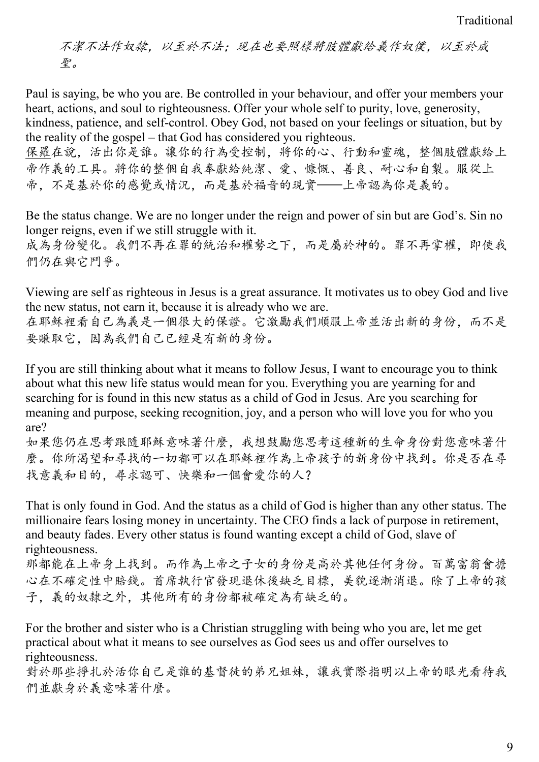不潔不法作奴隸,以至於不法;現在也要照樣將肢體獻給義作奴僕,以至於成 聖。

Paul is saying, be who you are. Be controlled in your behaviour, and offer your members your heart, actions, and soul to righteousness. Offer your whole self to purity, love, generosity, kindness, patience, and self-control. Obey God, not based on your feelings or situation, but by the reality of the gospel – that God has considered you righteous.

保羅在說,活出你是誰。讓你的行為受控制,將你的心、行動和靈魂,整個肢體獻給上 帝作義的工具。將你的整個自我奉獻給純潔、愛、慷慨、善良、耐心和自製。服從上 帝,不是基於你的感覺或情況,而是基於福音的現實——上帝認為你是義的。

Be the status change. We are no longer under the reign and power of sin but are God's. Sin no longer reigns, even if we still struggle with it.

成為身份變化。我們不再在罪的統治和權勢之下,而是屬於神的。罪不再掌權,即使我 們仍在與它鬥爭。

Viewing are self as righteous in Jesus is a great assurance. It motivates us to obey God and live the new status, not earn it, because it is already who we are. 在耶穌裡看自己為義是一個很大的保證。它激勵我們順服上帝並活出新的身份,而不是 要賺取它,因為我們自己已經是有新的身份。

If you are still thinking about what it means to follow Jesus, I want to encourage you to think about what this new life status would mean for you. Everything you are yearning for and searching for is found in this new status as a child of God in Jesus. Are you searching for meaning and purpose, seeking recognition, joy, and a person who will love you for who you are?

如果您仍在思考跟隨耶穌意味著什麼,我想鼓勵您思考這種新的生命身份對您意味著什 麼。你所渴望和尋找的一切都可以在耶穌裡作為上帝孩子的新身份中找到。你是否在尋 找意義和目的,尋求認可、快樂和一個會愛你的人?

That is only found in God. And the status as a child of God is higher than any other status. The millionaire fears losing money in uncertainty. The CEO finds a lack of purpose in retirement, and beauty fades. Every other status is found wanting except a child of God, slave of righteousness.

那都能在上帝身上找到。而作為上帝之子女的身份是高於其他任何身份。百萬富翁會擔 心在不確定性中賠錢。首席執行官發現退休後缺乏目標,美貌逐漸消退。除了上帝的孩 子,義的奴隸之外,其他所有的身份都被確定為有缺乏的。

For the brother and sister who is a Christian struggling with being who you are, let me get practical about what it means to see ourselves as God sees us and offer ourselves to righteousness.

對於那些掙扎於活你自己是誰的基督徒的弟兄姐妹,讓我實際指明以上帝的眼光看待我 們並獻身於義意味著什麼。